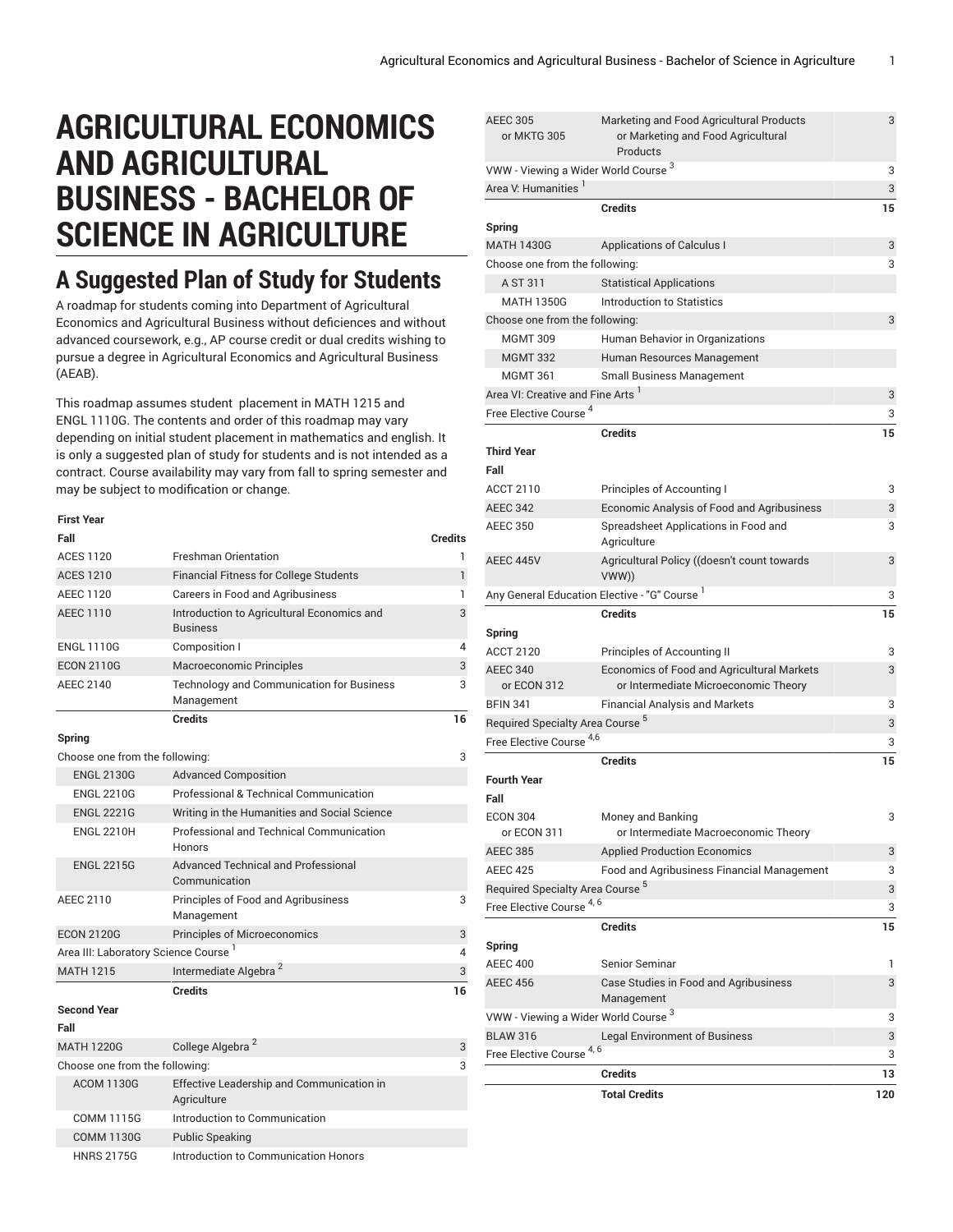# **AGRICULTURAL ECONOMICS AND AGRICULTURAL BUSINESS - BACHELOR OF SCIENCE IN AGRICULTURE**

# **A Suggested Plan of Study for Students**

A roadmap for students coming into Department of Agricultural Economics and Agricultural Business without deficiences and without advanced coursework, e.g., AP course credit or dual credits wishing to pursue a degree in Agricultural Economics and Agricultural Business (AEAB).

This roadmap assumes student placement in MATH 1215 and ENGL 1110G. The contents and order of this roadmap may vary depending on initial student placement in mathematics and english. It is only a suggested plan of study for students and is not intended as a contract. Course availability may vary from fall to spring semester and may be subject to modification or change.

| <b>First Year</b>                                |                                                                |              |
|--------------------------------------------------|----------------------------------------------------------------|--------------|
| Fall                                             |                                                                | Credits      |
| <b>ACES 1120</b>                                 | <b>Freshman Orientation</b>                                    | 1            |
| <b>ACES 1210</b>                                 | <b>Financial Fitness for College Students</b>                  | $\mathbf{1}$ |
| AEEC 1120                                        | Careers in Food and Agribusiness                               | 1            |
| <b>AEEC 1110</b>                                 | Introduction to Agricultural Economics and<br><b>Business</b>  | 3            |
| <b>ENGL 1110G</b>                                | Composition I                                                  | 4            |
| <b>ECON 2110G</b>                                | <b>Macroeconomic Principles</b>                                | 3            |
| <b>AEEC 2140</b>                                 | <b>Technology and Communication for Business</b><br>Management | 3            |
|                                                  | <b>Credits</b>                                                 | 16           |
| Spring                                           |                                                                |              |
| Choose one from the following:                   |                                                                | 3            |
| <b>ENGL 2130G</b>                                | <b>Advanced Composition</b>                                    |              |
| <b>ENGL 2210G</b>                                | Professional & Technical Communication                         |              |
| <b>ENGL 2221G</b>                                | Writing in the Humanities and Social Science                   |              |
| <b>ENGL 2210H</b>                                | Professional and Technical Communication<br>Honors             |              |
| <b>ENGL 2215G</b>                                | Advanced Technical and Professional<br>Communication           |              |
| <b>AEEC 2110</b>                                 | Principles of Food and Agribusiness<br>Management              | 3            |
| <b>ECON 2120G</b>                                | <b>Principles of Microeconomics</b>                            | 3            |
| Area III: Laboratory Science Course <sup>1</sup> |                                                                | 4            |
| <b>MATH 1215</b>                                 | Intermediate Algebra <sup>2</sup>                              | 3            |
|                                                  | <b>Credits</b>                                                 | 16           |
| <b>Second Year</b>                               |                                                                |              |
| Fall                                             |                                                                |              |
| <b>MATH 1220G</b>                                | College Algebra <sup>2</sup>                                   | 3            |
| Choose one from the following:                   |                                                                | 3            |
| <b>ACOM 1130G</b>                                | Effective Leadership and Communication in<br>Agriculture       |              |
| <b>COMM 1115G</b>                                | Introduction to Communication                                  |              |
| <b>COMM 1130G</b>                                | <b>Public Speaking</b>                                         |              |
| <b>HNRS 2175G</b>                                | Introduction to Communication Honors                           |              |

| <b>AEEC 305</b><br>or MKTG 305                  | Marketing and Food Agricultural Products<br>or Marketing and Food Agricultural<br>Products | 3   |
|-------------------------------------------------|--------------------------------------------------------------------------------------------|-----|
| VWW - Viewing a Wider World Course <sup>3</sup> |                                                                                            | 3   |
| Area V: Humanities                              |                                                                                            | 3   |
|                                                 | <b>Credits</b>                                                                             | 15  |
| Spring                                          |                                                                                            |     |
| <b>MATH 1430G</b>                               | <b>Applications of Calculus I</b>                                                          | 3   |
| Choose one from the following:                  |                                                                                            | 3   |
| A ST 311                                        | <b>Statistical Applications</b>                                                            |     |
| <b>MATH 1350G</b>                               | Introduction to Statistics                                                                 |     |
| Choose one from the following:                  |                                                                                            | 3   |
| <b>MGMT 309</b>                                 | Human Behavior in Organizations                                                            |     |
| <b>MGMT 332</b>                                 | Human Resources Management                                                                 |     |
| <b>MGMT 361</b>                                 | <b>Small Business Management</b>                                                           |     |
| Area VI: Creative and Fine Arts                 |                                                                                            | 3   |
| Free Elective Course <sup>4</sup>               |                                                                                            | 3   |
|                                                 | <b>Credits</b>                                                                             | 15  |
| <b>Third Year</b>                               |                                                                                            |     |
| Fall                                            |                                                                                            |     |
| ACCT 2110                                       | Principles of Accounting I                                                                 | 3   |
| <b>AEEC 342</b>                                 | Economic Analysis of Food and Agribusiness                                                 | 3   |
| <b>AEEC 350</b>                                 | Spreadsheet Applications in Food and                                                       | 3   |
|                                                 | Agriculture                                                                                |     |
| AEEC 445V                                       | Agricultural Policy ((doesn't count towards<br>VWW))                                       | 3   |
|                                                 | Any General Education Elective - "G" Course '                                              | 3   |
|                                                 | <b>Credits</b>                                                                             | 15  |
| Spring                                          |                                                                                            |     |
| <b>ACCT 2120</b>                                | Principles of Accounting II                                                                | 3   |
| <b>AEEC 340</b><br>or ECON 312                  | Economics of Food and Agricultural Markets<br>or Intermediate Microeconomic Theory         | 3   |
| <b>BFIN 341</b>                                 | <b>Financial Analysis and Markets</b>                                                      | 3   |
| Required Specialty Area Course <sup>5</sup>     |                                                                                            | 3   |
| Free Elective Course <sup>4,6</sup>             |                                                                                            | 3   |
|                                                 | <b>Credits</b>                                                                             | 15  |
| <b>Fourth Year</b>                              |                                                                                            |     |
| Fall                                            |                                                                                            |     |
| <b>ECON 304</b>                                 | Money and Banking                                                                          | 3   |
| or ECON 311                                     | or Intermediate Macroeconomic Theory                                                       |     |
| <b>AEEC 385</b>                                 | <b>Applied Production Economics</b>                                                        | 3   |
| <b>AEEC 425</b>                                 | Food and Agribusiness Financial Management                                                 | 3   |
| Required Specialty Area Course <sup>5</sup>     |                                                                                            | 3   |
| Free Elective Course <sup>4, 6</sup>            |                                                                                            | 3   |
|                                                 | <b>Credits</b>                                                                             | 15  |
| Spring                                          |                                                                                            |     |
| <b>AEEC 400</b>                                 | Senior Seminar                                                                             | 1   |
| <b>AEEC 456</b>                                 | Case Studies in Food and Agribusiness                                                      | 3   |
|                                                 | Management                                                                                 |     |
| VWW - Viewing a Wider World Course <sup>3</sup> |                                                                                            | 3   |
| <b>BLAW 316</b>                                 | <b>Legal Environment of Business</b>                                                       | 3   |
| <b>Free Elective Course</b>                     | 4, 6                                                                                       | 3   |
|                                                 | <b>Credits</b>                                                                             | 13  |
|                                                 | <b>Total Credits</b>                                                                       | 120 |
|                                                 |                                                                                            |     |